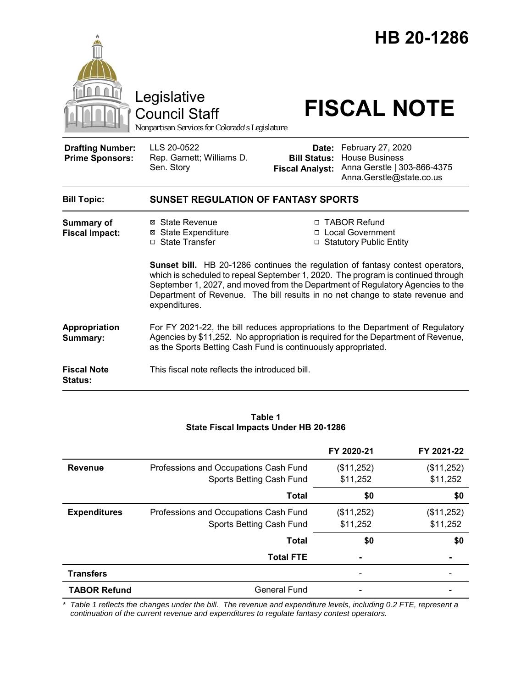

#### **Table 1 State Fiscal Impacts Under HB 20-1286**

|                     |                                       | FY 2020-21 | FY 2021-22 |
|---------------------|---------------------------------------|------------|------------|
| <b>Revenue</b>      | Professions and Occupations Cash Fund | (\$11,252) | (\$11,252) |
|                     | Sports Betting Cash Fund              | \$11,252   | \$11,252   |
|                     | <b>Total</b>                          | \$0        | \$0        |
| <b>Expenditures</b> | Professions and Occupations Cash Fund | (\$11,252) | (\$11,252) |
|                     | Sports Betting Cash Fund              | \$11,252   | \$11,252   |
|                     | <b>Total</b>                          | \$0        | \$0        |
|                     | <b>Total FTE</b>                      |            |            |
| <b>Transfers</b>    |                                       |            |            |
| <b>TABOR Refund</b> | <b>General Fund</b>                   |            |            |

*\* Table 1 reflects the changes under the bill. The revenue and expenditure levels, including 0.2 FTE, represent a continuation of the current revenue and expenditures to regulate fantasy contest operators.*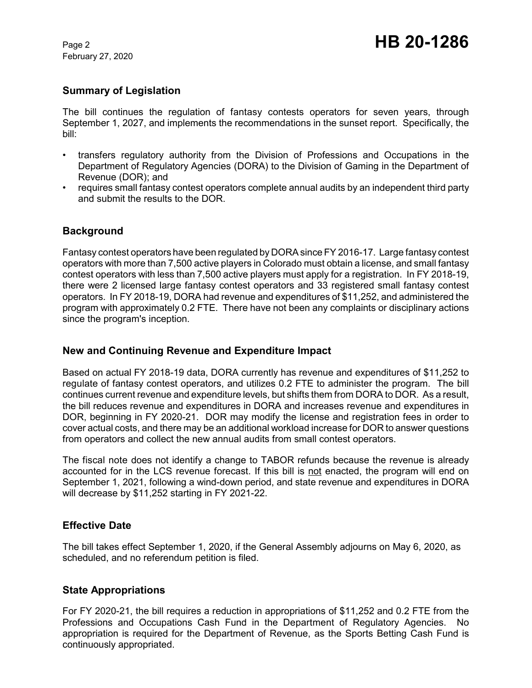February 27, 2020

# **Summary of Legislation**

The bill continues the regulation of fantasy contests operators for seven years, through September 1, 2027, and implements the recommendations in the sunset report. Specifically, the bill:

- transfers regulatory authority from the Division of Professions and Occupations in the Department of Regulatory Agencies (DORA) to the Division of Gaming in the Department of Revenue (DOR); and
- requires small fantasy contest operators complete annual audits by an independent third party and submit the results to the DOR.

## **Background**

Fantasy contest operators have been regulated by DORA since FY 2016-17. Large fantasy contest operators with more than 7,500 active players in Colorado must obtain a license, and small fantasy contest operators with less than 7,500 active players must apply for a registration. In FY 2018-19, there were 2 licensed large fantasy contest operators and 33 registered small fantasy contest operators. In FY 2018-19, DORA had revenue and expenditures of \$11,252, and administered the program with approximately 0.2 FTE. There have not been any complaints or disciplinary actions since the program's inception.

### **New and Continuing Revenue and Expenditure Impact**

Based on actual FY 2018-19 data, DORA currently has revenue and expenditures of \$11,252 to regulate of fantasy contest operators, and utilizes 0.2 FTE to administer the program. The bill continues current revenue and expenditure levels, but shifts them from DORA to DOR. As a result, the bill reduces revenue and expenditures in DORA and increases revenue and expenditures in DOR, beginning in FY 2020-21. DOR may modify the license and registration fees in order to cover actual costs, and there may be an additional workload increase for DOR to answer questions from operators and collect the new annual audits from small contest operators.

The fiscal note does not identify a change to TABOR refunds because the revenue is already accounted for in the LCS revenue forecast. If this bill is not enacted, the program will end on September 1, 2021, following a wind-down period, and state revenue and expenditures in DORA will decrease by \$11,252 starting in FY 2021-22.

### **Effective Date**

The bill takes effect September 1, 2020, if the General Assembly adjourns on May 6, 2020, as scheduled, and no referendum petition is filed.

### **State Appropriations**

For FY 2020-21, the bill requires a reduction in appropriations of \$11,252 and 0.2 FTE from the Professions and Occupations Cash Fund in the Department of Regulatory Agencies. No appropriation is required for the Department of Revenue, as the Sports Betting Cash Fund is continuously appropriated.